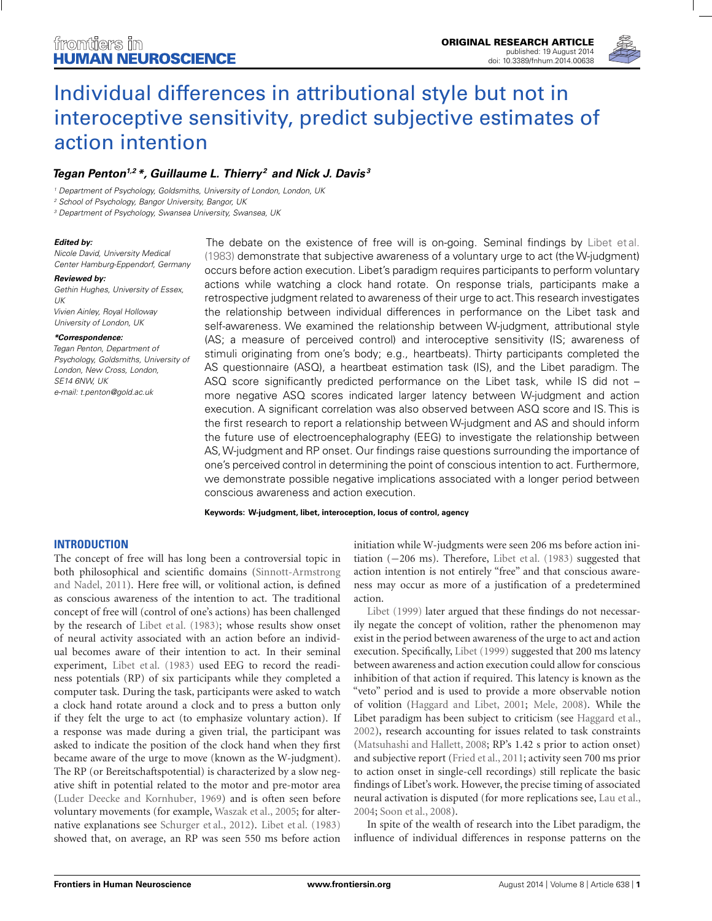

# Individual differences in attributional style but not in [interoceptive sensitivity, predict subjective estimates of](http://www.frontiersin.org/Journal/10.3389/fnhum.2014.00638/abstract) action intention

# *[Tegan Penton1](http://community.frontiersin.org/people/u/134992),2 \*, [Guillaume L. Thierry](http://community.frontiersin.org/people/u/2933)2 and [Nick J. Davis](http://community.frontiersin.org/people/u/99771) <sup>3</sup>*

<sup>1</sup> Department of Psychology, Goldsmiths, University of London, London, UK

<sup>2</sup> School of Psychology, Bangor University, Bangor, UK

<sup>3</sup> Department of Psychology, Swansea University, Swansea, UK

#### *Edited by:*

Nicole David, University Medical Center Hamburg-Eppendorf, Germany

*Reviewed by:*

Gethin Hughes, University of Essex, UK Vivien Ainley, Royal Holloway

University of London, UK

# *\*Correspondence:*

Tegan Penton, Department of Psychology, Goldsmiths, University of London, New Cross, London, SE14 6NW, UK e-mail: [t.penton@gold.ac.uk](mailto:t.penton@gold.ac.uk)

The debate on the existence of free will is on-going. Seminal findings by [Libet et al.](#page-5-0) [\(1983](#page-5-0)) demonstrate that subjective awareness of a voluntary urge to act (the W-judgment) occurs before action execution. Libet's paradigm requires participants to perform voluntary actions while watching a clock hand rotate. On response trials, participants make a retrospective judgment related to awareness of their urge to act.This research investigates the relationship between individual differences in performance on the Libet task and self-awareness. We examined the relationship between W-judgment, attributional style (AS; a measure of perceived control) and interoceptive sensitivity (IS; awareness of stimuli originating from one's body; e.g., heartbeats). Thirty participants completed the AS questionnaire (ASQ), a heartbeat estimation task (IS), and the Libet paradigm. The ASQ score significantly predicted performance on the Libet task, while IS did not – more negative ASQ scores indicated larger latency between W-judgment and action execution. A significant correlation was also observed between ASQ score and IS. This is the first research to report a relationship between W-judgment and AS and should inform the future use of electroencephalography (EEG) to investigate the relationship between AS,W-judgment and RP onset. Our findings raise questions surrounding the importance of one's perceived control in determining the point of conscious intention to act. Furthermore, we demonstrate possible negative implications associated with a longer period between conscious awareness and action execution.

#### **Keywords: W-judgment, libet, interoception, locus of control, agency**

## **INTRODUCTION**

The concept of free will has long been a controversial topic in both phil[osophical and scientific domains \(](#page-5-0)Sinnott-Armstrong and Nadel, [2011](#page-5-0)). Here free will, or volitional action, is defined as conscious awareness of the intention to act. The traditional concept of free will (control of one's actions) has been challenged by the research of [Libet et al.](#page-5-0) [\(1983](#page-5-0)); whose results show onset of neural activity associated with an action before an individual becomes aware of their intention to act. In their seminal experiment, [Libet et al.](#page-5-0) [\(1983](#page-5-0)) used EEG to record the readiness potentials (RP) of six participants while they completed a computer task. During the task, participants were asked to watch a clock hand rotate around a clock and to press a button only if they felt the urge to act (to emphasize voluntary action). If a response was made during a given trial, the participant was asked to indicate the position of the clock hand when they first became aware of the urge to move (known as the W-judgment). The RP (or Bereitschaftspotential) is characterized by a slow negative shift in potential related to the motor and pre-motor area [\(Luder Deecke and Kornhuber, 1969\)](#page-5-0) and is often seen before voluntary movements (for example, [Waszak et al.](#page-5-0), [2005;](#page-5-0) for alternative explanations see [Schurger et al.](#page-5-0), [2012](#page-5-0)). [Libet et al.](#page-5-0) [\(1983](#page-5-0)) showed that, on average, an RP was seen 550 ms before action initiation while W-judgments were seen 206 ms before action initiation (−206 ms). Therefore, [Libet et al.](#page-5-0) [\(1983](#page-5-0)) suggested that action intention is not entirely "free" and that conscious awareness may occur as more of a justification of a predetermined [action.](#page-5-0)

Libet [\(1999\)](#page-5-0) later argued that these findings do not necessarily negate the concept of volition, rather the phenomenon may exist in the period between awareness of the urge to act and action execution. Specifically, [Libet](#page-5-0) [\(1999](#page-5-0)) suggested that 200 ms latency between awareness and action execution could allow for conscious inhibition of that action if required. This latency is known as the "veto" period and is used to provide a more observable notion of volition [\(Haggard and Libet, 2001;](#page-5-0) [Mele, 2008\)](#page-5-0). While the Libet paradigm has been subject to criticism (see [Haggard et al.,](#page-5-0) [2002](#page-5-0)), research accounting for issues related to task constraints [\(Matsuhashi and Hallett](#page-5-0), [2008;](#page-5-0) RP's 1.42 s prior to action onset) and subjective report [\(Fried et al.](#page-5-0), [2011](#page-5-0); activity seen 700 ms prior to action onset in single-cell recordings) still replicate the basic findings of Libet's work. However, the precise timing of associated neural activation is disputed (for more replications see, [Lau et al.,](#page-5-0) [2004](#page-5-0); [Soon et al., 2008](#page-5-0)).

In spite of the wealth of research into the Libet paradigm, the influence of individual differences in response patterns on the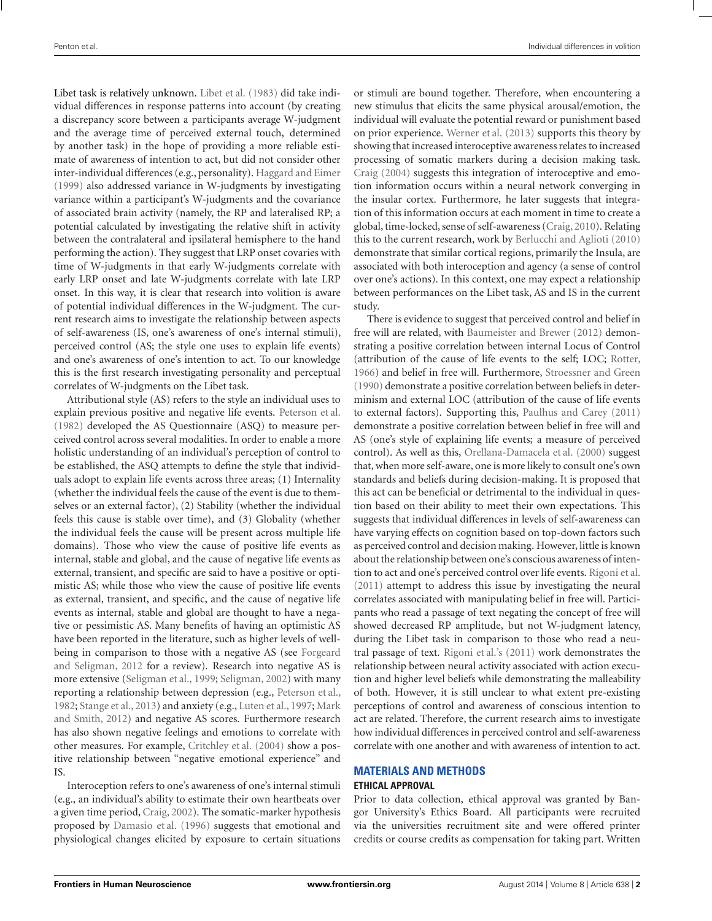Libet task is relatively unknown. [Libet et al.](#page-5-0) [\(1983](#page-5-0)) did take individual differences in response patterns into account (by creating a discrepancy score between a participants average W-judgment and the average time of perceived external touch, determined by another task) in the hope of providing a more reliable estimate of awareness of intention to act, but did not consider other inter-individual differences (e.g., personality). [Haggard and Eimer](#page-5-0) [\(1999](#page-5-0)) also addressed variance in W-judgments by investigating variance within a participant's W-judgments and the covariance of associated brain activity (namely, the RP and lateralised RP; a potential calculated by investigating the relative shift in activity between the contralateral and ipsilateral hemisphere to the hand performing the action). They suggest that LRP onset covaries with time of W-judgments in that early W-judgments correlate with early LRP onset and late W-judgments correlate with late LRP onset. In this way, it is clear that research into volition is aware of potential individual differences in the W-judgment. The current research aims to investigate the relationship between aspects of self-awareness (IS, one's awareness of one's internal stimuli), perceived control (AS; the style one uses to explain life events) and one's awareness of one's intention to act. To our knowledge this is the first research investigating personality and perceptual correlates of W-judgments on the Libet task.

Attributional style (AS) refers to the style an individual uses to explain previous positive and negative life events. [Peterson et al.](#page-5-0) [\(1982](#page-5-0)) developed the AS Questionnaire (ASQ) to measure perceived control across several modalities. In order to enable a more holistic understanding of an individual's perception of control to be established, the ASQ attempts to define the style that individuals adopt to explain life events across three areas; (1) Internality (whether the individual feels the cause of the event is due to themselves or an external factor), (2) Stability (whether the individual feels this cause is stable over time), and (3) Globality (whether the individual feels the cause will be present across multiple life domains). Those who view the cause of positive life events as internal, stable and global, and the cause of negative life events as external, transient, and specific are said to have a positive or optimistic AS; while those who view the cause of positive life events as external, transient, and specific, and the cause of negative life events as internal, stable and global are thought to have a negative or pessimistic AS. Many benefits of having an optimistic AS have been reported in the literature, such as higher levels of wellbeing in com[parison to those with a negative AS \(see](#page-5-0) Forgeard and Seligman, [2012](#page-5-0) for a review). Research into negative AS is more extensive [\(Seligman et al., 1999](#page-5-0); [Seligman, 2002\)](#page-5-0) with many reporting a relationship between depression (e.g., [Peterson et al.,](#page-5-0) [1982;](#page-5-0) [Stange et al., 2013\) and anxiety \(e.g.,](#page-5-0) [Luten et al.](#page-5-0), [1997](#page-5-0); Mark and Smith, [2012\)](#page-5-0) and negative AS scores. Furthermore research has also shown negative feelings and emotions to correlate with other measures. For example, [Critchley et al.](#page-5-0) [\(2004\)](#page-5-0) show a positive relationship between "negative emotional experience" and IS.

Interoception refers to one's awareness of one's internal stimuli (e.g., an individual's ability to estimate their own heartbeats over a given time period, [Craig, 2002\)](#page-5-0). The somatic-marker hypothesis proposed by [Damasio et al.](#page-5-0) [\(1996](#page-5-0)) suggests that emotional and physiological changes elicited by exposure to certain situations or stimuli are bound together. Therefore, when encountering a new stimulus that elicits the same physical arousal/emotion, the individual will evaluate the potential reward or punishment based on prior experience. [Werner et al.](#page-5-0) [\(2013](#page-5-0)) supports this theory by showing that increased interoceptive awareness relates to increased processing of somatic markers during a decision making task. [Craig](#page-5-0) [\(2004](#page-5-0)) suggests this integration of interoceptive and emotion information occurs within a neural network converging in the insular cortex. Furthermore, he later suggests that integration of this information occurs at each moment in time to create a global, time-locked, sense of self-awareness [\(Craig, 2010](#page-5-0)). Relating this to the current research, work by [Berlucchi and Aglioti](#page-5-0) [\(2010](#page-5-0)) demonstrate that similar cortical regions, primarily the Insula, are associated with both interoception and agency (a sense of control over one's actions). In this context, one may expect a relationship between performances on the Libet task, AS and IS in the current study.

There is evidence to suggest that perceived control and belief in free will are related, with [Baumeister and Brewer](#page-5-0) [\(2012\)](#page-5-0) demonstrating a positive correlation between internal Locus of Control (attribution of the cause of life events to the self; LOC; [Rotter,](#page-5-0) [1966](#page-5-0)) and belief in free will. Furthermore, [Stroessner and Green](#page-5-0) [\(1990\)](#page-5-0) demonstrate a positive correlation between beliefs in determinism and external LOC (attribution of the cause of life events to external factors). Supporting this, [Paulhus and Carey](#page-5-0) [\(2011](#page-5-0)) demonstrate a positive correlation between belief in free will and AS (one's style of explaining life events; a measure of perceived control). As well as this, [Orellana-Damacela et al.](#page-5-0) [\(2000](#page-5-0)) suggest that, when more self-aware, one is more likely to consult one's own standards and beliefs during decision-making. It is proposed that this act can be beneficial or detrimental to the individual in question based on their ability to meet their own expectations. This suggests that individual differences in levels of self-awareness can have varying effects on cognition based on top-down factors such as perceived control and decision making. However, little is known about the relationship between one's conscious awareness of intention to act and one's perceived control over life events. [Rigoni et al.](#page-5-0) [\(2011\)](#page-5-0) attempt to address this issue by investigating the neural correlates associated with manipulating belief in free will. Participants who read a passage of text negating the concept of free will showed decreased RP amplitude, but not W-judgment latency, during the Libet task in comparison to those who read a neutral passage of text. [Rigoni et al.](#page-5-0)'s [\(2011\)](#page-5-0) work demonstrates the relationship between neural activity associated with action execution and higher level beliefs while demonstrating the malleability of both. However, it is still unclear to what extent pre-existing perceptions of control and awareness of conscious intention to act are related. Therefore, the current research aims to investigate how individual differences in perceived control and self-awareness correlate with one another and with awareness of intention to act.

# **MATERIALS AND METHODS**

#### **ETHICAL APPROVAL**

Prior to data collection, ethical approval was granted by Bangor University's Ethics Board. All participants were recruited via the universities recruitment site and were offered printer credits or course credits as compensation for taking part. Written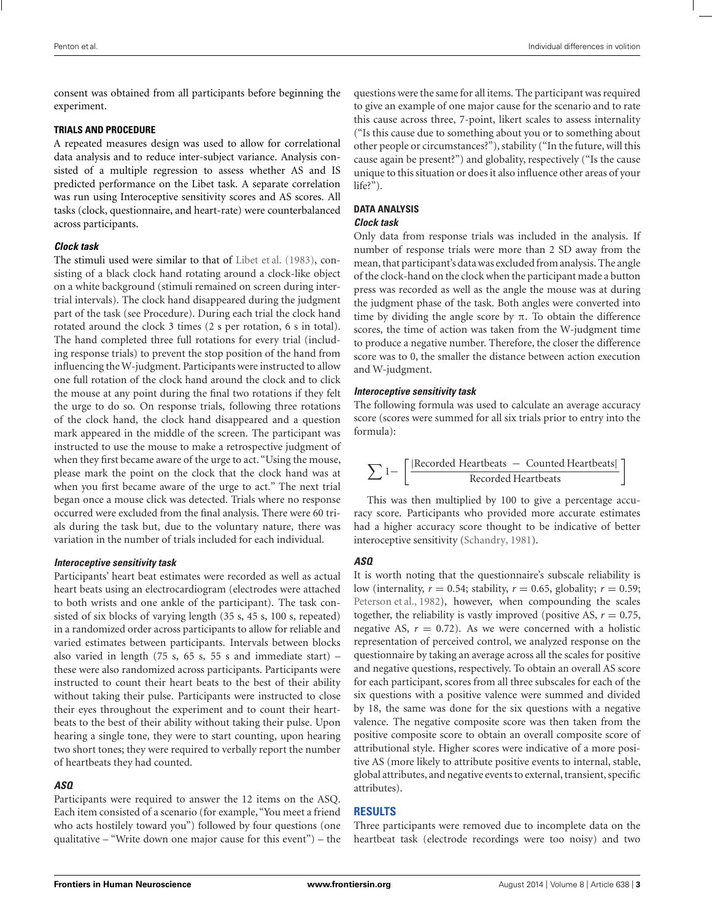consent was obtained from all participants before beginning the experiment.

#### **TRIALS AND PROCEDURE**

A repeated measures design was used to allow for correlational data analysis and to reduce inter-subject variance. Analysis consisted of a multiple regression to assess whether AS and IS predicted performance on the Libet task. A separate correlation was run using Interoceptive sensitivity scores and AS scores. All tasks (clock, questionnaire, and heart-rate) were counterbalanced across participants.

#### *Clock task*

The stimuli used were similar to that of [Libet et al.](#page-5-0) [\(1983\)](#page-5-0), consisting of a black clock hand rotating around a clock-like object on a white background (stimuli remained on screen during intertrial intervals). The clock hand disappeared during the judgment part of the task (see Procedure). During each trial the clock hand rotated around the clock 3 times (2 s per rotation, 6 s in total). The hand completed three full rotations for every trial (including response trials) to prevent the stop position of the hand from influencing theW-judgment. Participants were instructed to allow one full rotation of the clock hand around the clock and to click the mouse at any point during the final two rotations if they felt the urge to do so. On response trials, following three rotations of the clock hand, the clock hand disappeared and a question mark appeared in the middle of the screen. The participant was instructed to use the mouse to make a retrospective judgment of when they first became aware of the urge to act. "Using the mouse, please mark the point on the clock that the clock hand was at when you first became aware of the urge to act." The next trial began once a mouse click was detected. Trials where no response occurred were excluded from the final analysis. There were 60 trials during the task but, due to the voluntary nature, there was variation in the number of trials included for each individual.

## *Interoceptive sensitivity task*

Participants' heart beat estimates were recorded as well as actual heart beats using an electrocardiogram (electrodes were attached to both wrists and one ankle of the participant). The task consisted of six blocks of varying length (35 s, 45 s, 100 s, repeated) in a randomized order across participants to allow for reliable and varied estimates between participants. Intervals between blocks also varied in length (75 s, 65 s, 55 s and immediate start) – these were also randomized across participants. Participants were instructed to count their heart beats to the best of their ability without taking their pulse. Participants were instructed to close their eyes throughout the experiment and to count their heartbeats to the best of their ability without taking their pulse. Upon hearing a single tone, they were to start counting, upon hearing two short tones; they were required to verbally report the number of heartbeats they had counted.

## *ASQ*

Participants were required to answer the 12 items on the ASQ. Each item consisted of a scenario (for example, "You meet a friend who acts hostilely toward you") followed by four questions (one qualitative – "Write down one major cause for this event") – the questions were the same for all items. The participant was required to give an example of one major cause for the scenario and to rate this cause across three, 7-point, likert scales to assess internality ("Is this cause due to something about you or to something about other people or circumstances?"), stability ("In the future, will this cause again be present?") and globality, respectively ("Is the cause unique to this situation or does it also influence other areas of your life?").

#### **DATA ANALYSIS**

#### *Clock task*

Only data from response trials was included in the analysis. If number of response trials were more than 2 SD away from the mean, that participant's data was excluded from analysis. The angle of the clock-hand on the clock when the participant made a button press was recorded as well as the angle the mouse was at during the judgment phase of the task. Both angles were converted into time by dividing the angle score by  $\pi$ . To obtain the difference scores, the time of action was taken from the W-judgment time to produce a negative number. Therefore, the closer the difference score was to 0, the smaller the distance between action execution and W-judgment.

#### *Interoceptive sensitivity task*

The following formula was used to calculate an average accuracy score (scores were summed for all six trials prior to entry into the formula):

$$
\sum 1 - \left[\frac{|Recorded \text{ Heartbeats } - \text{ Counted Heartbeats}|}{Recorded \text{Heartbeats}}\right]
$$

This was then multiplied by 100 to give a percentage accuracy score. Participants who provided more accurate estimates had a higher accuracy score thought to be indicative of better interoceptive sensitivity [\(Schandry, 1981](#page-5-0)).

## *ASQ*

It is worth noting that the questionnaire's subscale reliability is low (internality,  $r = 0.54$ ; stability,  $r = 0.65$ , globality;  $r = 0.59$ ; [Peterson et al.](#page-5-0), [1982\)](#page-5-0), however, when compounding the scales together, the reliability is vastly improved (positive AS,  $r = 0.75$ , negative AS,  $r = 0.72$ ). As we were concerned with a holistic representation of perceived control, we analyzed response on the questionnaire by taking an average across all the scales for positive and negative questions, respectively. To obtain an overall AS score for each participant, scores from all three subscales for each of the six questions with a positive valence were summed and divided by 18, the same was done for the six questions with a negative valence. The negative composite score was then taken from the positive composite score to obtain an overall composite score of attributional style. Higher scores were indicative of a more positive AS (more likely to attribute positive events to internal, stable, global attributes, and negative events to external, transient, specific attributes).

# **RESULTS**

Three participants were removed due to incomplete data on the heartbeat task (electrode recordings were too noisy) and two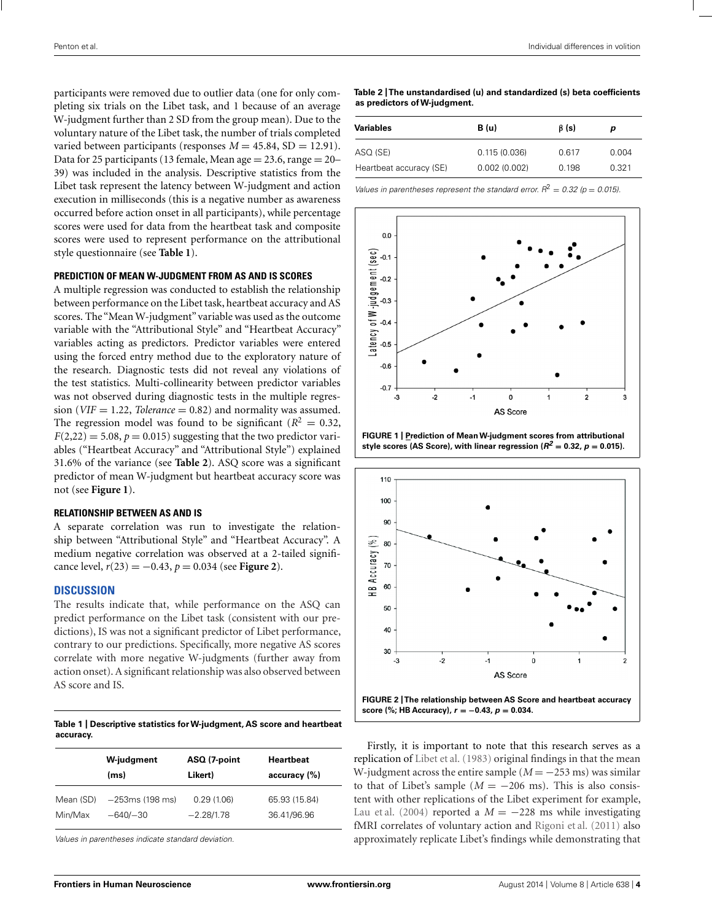participants were removed due to outlier data (one for only completing six trials on the Libet task, and 1 because of an average W-judgment further than 2 SD from the group mean). Due to the voluntary nature of the Libet task, the number of trials completed varied between participants (responses  $M = 45.84$ , SD = 12.91). Data for 25 participants (13 female, Mean age  $= 23.6$ , range  $= 20-$ 39) was included in the analysis. Descriptive statistics from the Libet task represent the latency between W-judgment and action execution in milliseconds (this is a negative number as awareness occurred before action onset in all participants), while percentage scores were used for data from the heartbeat task and composite scores were used to represent performance on the attributional style questionnaire (see **Table 1**).

#### **PREDICTION OF MEAN W-JUDGMENT FROM AS AND IS SCORES**

A multiple regression was conducted to establish the relationship between performance on the Libet task, heartbeat accuracy and AS scores. The "Mean W-judgment" variable was used as the outcome variable with the "Attributional Style" and "Heartbeat Accuracy" variables acting as predictors. Predictor variables were entered using the forced entry method due to the exploratory nature of the research. Diagnostic tests did not reveal any violations of the test statistics. Multi-collinearity between predictor variables was not observed during diagnostic tests in the multiple regression ( $VIF = 1.22$ , *Tolerance* = 0.82) and normality was assumed. The regression model was found to be significant ( $R^2 = 0.32$ ,  $F(2,22) = 5.08, p = 0.015$  suggesting that the two predictor variables ("Heartbeat Accuracy" and "Attributional Style") explained 31.6% of the variance (see **Table 2**). ASQ score was a significant predictor of mean W-judgment but heartbeat accuracy score was not (see **Figure 1**).

#### **RELATIONSHIP BETWEEN AS AND IS**

A separate correlation was run to investigate the relationship between "Attributional Style" and "Heartbeat Accuracy". A medium negative correlation was observed at a 2-tailed significance level,  $r(23) = -0.43$ ,  $p = 0.034$  (see **Figure 2**).

#### **DISCUSSION**

The results indicate that, while performance on the ASQ can predict performance on the Libet task (consistent with our predictions), IS was not a significant predictor of Libet performance, contrary to our predictions. Specifically, more negative AS scores correlate with more negative W-judgments (further away from action onset). A significant relationship was also observed between AS score and IS.

**Table 1 | Descriptive statistics forW-judgment, AS score and heartbeat accuracy.**

|           | W-judgment        | ASQ (7-point | <b>Heartbeat</b> |
|-----------|-------------------|--------------|------------------|
|           | (ms)              | Likert)      | accuracy (%)     |
| Mean (SD) | $-253ms$ (198 ms) | 0.29(1.06)   | 65.93 (15.84)    |
| Min/Max   | $-640/-30$        | $-2.28/1.78$ | 36.41/96.96      |

Values in parentheses indicate standard deviation.

**Table 2 |The unstandardised (u) and standardized (s) beta coefficients as predictors ofW-judgment.**

| Variables               | <b>B</b> (u) | $\beta$ (s) | D     |
|-------------------------|--------------|-------------|-------|
| ASQ (SE)                | 0.115(0.036) | 0.617       | 0.004 |
| Heartbeat accuracy (SE) | 0.002(0.002) | 0.198       | 0.321 |

Values in parentheses represent the standard error.  $R^2 = 0.32$  (p = 0.015).



**FIGURE 1 | Prediction of MeanW-judgment scores from attributional** style scores (AS Score), with linear regression  $(R^2 = 0.32, p = 0.015)$ .



Firstly, it is important to note that this research serves as a replication of [Libet et al.](#page-5-0) [\(1983](#page-5-0)) original findings in that the mean W-judgment across the entire sample (*M* = −253 ms) was similar to that of Libet's sample ( $M = -206$  ms). This is also consistent with other replications of the Libet experiment for example, [Lau et al.](#page-5-0) [\(2004\)](#page-5-0) reported a  $M = -228$  ms while investigating fMRI correlates of voluntary action and [Rigoni et al.](#page-5-0) [\(2011\)](#page-5-0) also approximately replicate Libet's findings while demonstrating that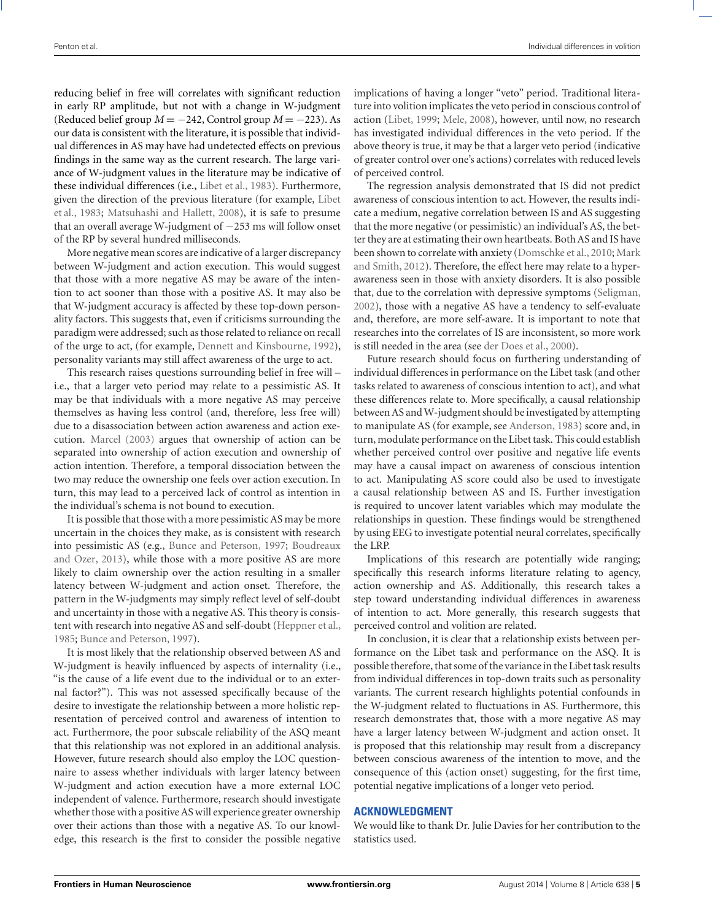reducing belief in free will correlates with significant reduction in early RP amplitude, but not with a change in W-judgment (Reduced belief group  $M = -242$ , Control group  $M = -223$ ). As our data is consistent with the literature, it is possible that individual differences in AS may have had undetected effects on previous findings in the same way as the current research. The large variance of W-judgment values in the literature may be indicative of these individual differences (i.e., [Libet et al., 1983\)](#page-5-0). Furthermore, give[n](#page-5-0) [the](#page-5-0) [direction](#page-5-0) [of](#page-5-0) [the](#page-5-0) [previous](#page-5-0) [literature](#page-5-0) [\(for](#page-5-0) [example,](#page-5-0) Libet et al., [1983;](#page-5-0) [Matsuhashi and Hallett, 2008\)](#page-5-0), it is safe to presume that an overall average W-judgment of −253 ms will follow onset of the RP by several hundred milliseconds.

More negative mean scores are indicative of a larger discrepancy between W-judgment and action execution. This would suggest that those with a more negative AS may be aware of the intention to act sooner than those with a positive AS. It may also be that W-judgment accuracy is affected by these top-down personality factors. This suggests that, even if criticisms surrounding the paradigm were addressed; such as those related to reliance on recall of the urge to act, (for example, [Dennett and Kinsbourne, 1992](#page-5-0)), personality variants may still affect awareness of the urge to act.

This research raises questions surrounding belief in free will – i.e., that a larger veto period may relate to a pessimistic AS. It may be that individuals with a more negative AS may perceive themselves as having less control (and, therefore, less free will) due to a disassociation between action awareness and action execution. [Marcel](#page-5-0) [\(2003](#page-5-0)) argues that ownership of action can be separated into ownership of action execution and ownership of action intention. Therefore, a temporal dissociation between the two may reduce the ownership one feels over action execution. In turn, this may lead to a perceived lack of control as intention in the individual's schema is not bound to execution.

It is possible that those with a more pessimistic AS may be more uncertain in the choices they make, as is consistent with research into pessimistic AS (e.g., [Bunce and Peterson, 1997;](#page-5-0) Boudreaux and Ozer, [2013](#page-5-0)), while those with a more positive AS are more likely to claim ownership over the action resulting in a smaller latency between W-judgment and action onset. Therefore, the pattern in the W-judgments may simply reflect level of self-doubt and uncertainty in those with a negative AS. This theory is consistent with research into negative AS and self-doubt [\(Heppner et al.](#page-5-0), [1985;](#page-5-0) [Bunce and Peterson, 1997\)](#page-5-0).

It is most likely that the relationship observed between AS and W-judgment is heavily influenced by aspects of internality (i.e., "is the cause of a life event due to the individual or to an external factor?"). This was not assessed specifically because of the desire to investigate the relationship between a more holistic representation of perceived control and awareness of intention to act. Furthermore, the poor subscale reliability of the ASQ meant that this relationship was not explored in an additional analysis. However, future research should also employ the LOC questionnaire to assess whether individuals with larger latency between W-judgment and action execution have a more external LOC independent of valence. Furthermore, research should investigate whether those with a positive AS will experience greater ownership over their actions than those with a negative AS. To our knowledge, this research is the first to consider the possible negative implications of having a longer "veto" period. Traditional literature into volition implicates the veto period in conscious control of action [\(Libet](#page-5-0), [1999;](#page-5-0) [Mele](#page-5-0), [2008](#page-5-0)), however, until now, no research has investigated individual differences in the veto period. If the above theory is true, it may be that a larger veto period (indicative of greater control over one's actions) correlates with reduced levels of perceived control.

The regression analysis demonstrated that IS did not predict awareness of conscious intention to act. However, the results indicate a medium, negative correlation between IS and AS suggesting that the more negative (or pessimistic) an individual's AS, the better they are at estimating their own heartbeats. Both AS and IS have been sho[wn to correlate with anxiety \(Domschke et al., 2010;](#page-5-0) Mark and Smith, [2012\)](#page-5-0). Therefore, the effect here may relate to a hyperawareness seen in those with anxiety disorders. It is also possible that, due to the correlation with depressive symptoms [\(Seligman,](#page-5-0) [2002](#page-5-0)), those with a negative AS have a tendency to self-evaluate and, therefore, are more self-aware. It is important to note that researches into the correlates of IS are inconsistent, so more work is still needed in the area (see [der Does et al.](#page-5-0), [2000\)](#page-5-0).

Future research should focus on furthering understanding of individual differences in performance on the Libet task (and other tasks related to awareness of conscious intention to act), and what these differences relate to. More specifically, a causal relationship between AS andW-judgment should be investigated by attempting to manipulate AS (for example, see [Anderson](#page-5-0), [1983](#page-5-0)) score and, in turn, modulate performance on the Libet task. This could establish whether perceived control over positive and negative life events may have a causal impact on awareness of conscious intention to act. Manipulating AS score could also be used to investigate a causal relationship between AS and IS. Further investigation is required to uncover latent variables which may modulate the relationships in question. These findings would be strengthened by using EEG to investigate potential neural correlates, specifically the LRP.

Implications of this research are potentially wide ranging; specifically this research informs literature relating to agency, action ownership and AS. Additionally, this research takes a step toward understanding individual differences in awareness of intention to act. More generally, this research suggests that perceived control and volition are related.

In conclusion, it is clear that a relationship exists between performance on the Libet task and performance on the ASQ. It is possible therefore, that some of the variance in the Libet task results from individual differences in top-down traits such as personality variants. The current research highlights potential confounds in the W-judgment related to fluctuations in AS. Furthermore, this research demonstrates that, those with a more negative AS may have a larger latency between W-judgment and action onset. It is proposed that this relationship may result from a discrepancy between conscious awareness of the intention to move, and the consequence of this (action onset) suggesting, for the first time, potential negative implications of a longer veto period.

## **ACKNOWLEDGMENT**

We would like to thank Dr. Julie Davies for her contribution to the statistics used.